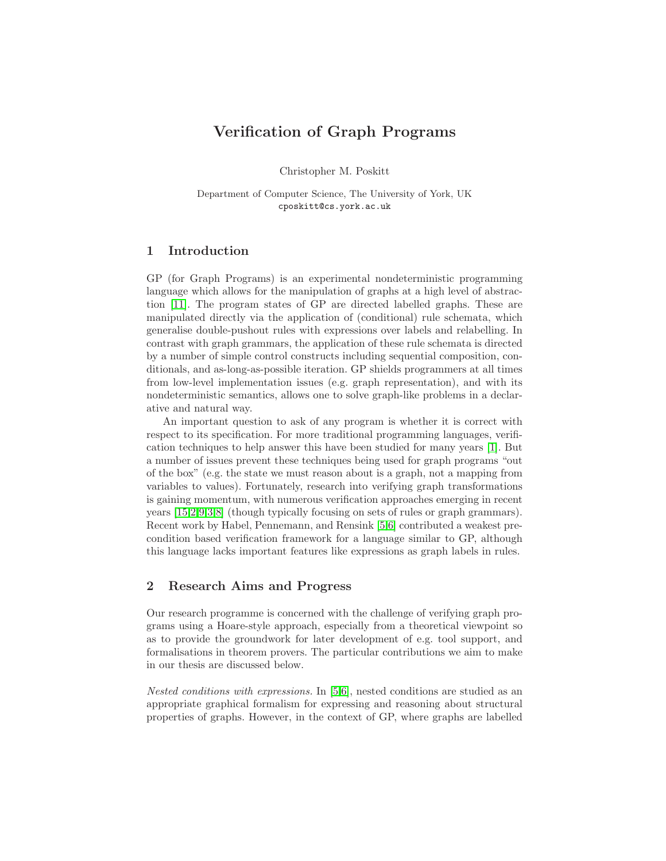## Verification of Graph Programs

Christopher M. Poskitt

Department of Computer Science, The University of York, UK cposkitt@cs.york.ac.uk

## 1 Introduction

GP (for Graph Programs) is an experimental nondeterministic programming language which allows for the manipulation of graphs at a high level of abstraction [\[11\]](#page-2-0). The program states of GP are directed labelled graphs. These are manipulated directly via the application of (conditional) rule schemata, which generalise double-pushout rules with expressions over labels and relabelling. In contrast with graph grammars, the application of these rule schemata is directed by a number of simple control constructs including sequential composition, conditionals, and as-long-as-possible iteration. GP shields programmers at all times from low-level implementation issues (e.g. graph representation), and with its nondeterministic semantics, allows one to solve graph-like problems in a declarative and natural way.

An important question to ask of any program is whether it is correct with respect to its specification. For more traditional programming languages, verification techniques to help answer this have been studied for many years [\[1\]](#page-2-1). But a number of issues prevent these techniques being used for graph programs "out of the box" (e.g. the state we must reason about is a graph, not a mapping from variables to values). Fortunately, research into verifying graph transformations is gaining momentum, with numerous verification approaches emerging in recent years [\[15,](#page-2-2)[2](#page-2-3)[,9,](#page-2-4)[3,](#page-2-5)[8\]](#page-2-6) (though typically focusing on sets of rules or graph grammars). Recent work by Habel, Pennemann, and Rensink [\[5](#page-2-7)[,6\]](#page-2-8) contributed a weakest precondition based verification framework for a language similar to GP, although this language lacks important features like expressions as graph labels in rules.

## 2 Research Aims and Progress

Our research programme is concerned with the challenge of verifying graph programs using a Hoare-style approach, especially from a theoretical viewpoint so as to provide the groundwork for later development of e.g. tool support, and formalisations in theorem provers. The particular contributions we aim to make in our thesis are discussed below.

Nested conditions with expressions. In [\[5](#page-2-7)[,6\]](#page-2-8), nested conditions are studied as an appropriate graphical formalism for expressing and reasoning about structural properties of graphs. However, in the context of GP, where graphs are labelled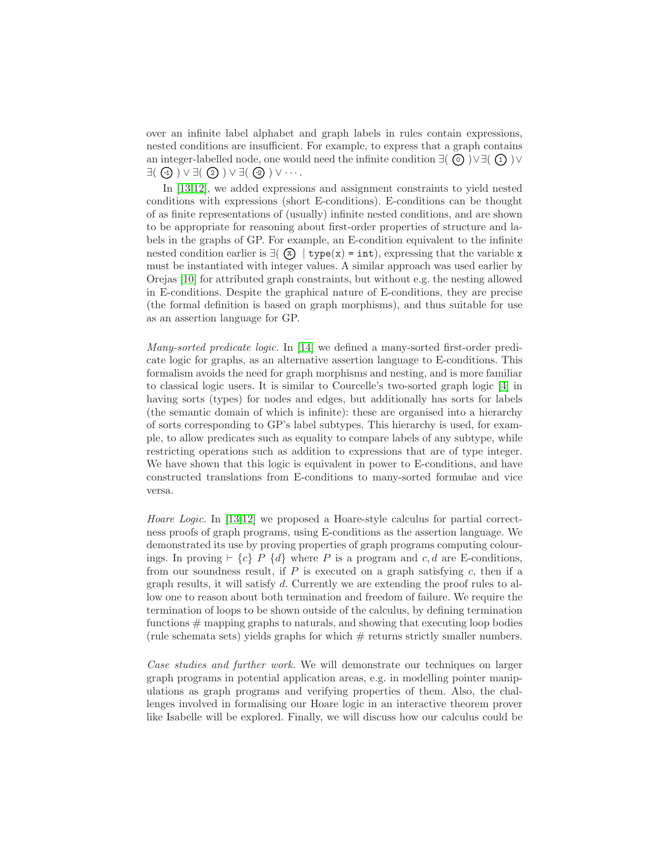over an infinite label alphabet and graph labels in rules contain expressions, nested conditions are insufficient. For example, to express that a graph contains an integer-labelled node, one would need the infinite condition  $\exists (\varphi) \vee \exists (\varphi)$  $\exists (\bigoplus) \vee \exists (\bigodot) \vee \exists (\bigodot) \vee \cdots$ .

In [\[13](#page-2-9)[,12\]](#page-2-10), we added expressions and assignment constraints to yield nested conditions with expressions (short E-conditions). E-conditions can be thought of as finite representations of (usually) infinite nested conditions, and are shown to be appropriate for reasoning about first-order properties of structure and labels in the graphs of GP. For example, an E-condition equivalent to the infinite nested condition earlier is  $\exists (\overline{x}) | type(x) = int$ , expressing that the variable x must be instantiated with integer values. A similar approach was used earlier by Orejas [\[10\]](#page-2-11) for attributed graph constraints, but without e.g. the nesting allowed in E-conditions. Despite the graphical nature of E-conditions, they are precise (the formal definition is based on graph morphisms), and thus suitable for use as an assertion language for GP.

Many-sorted predicate logic. In [\[14\]](#page-2-12) we defined a many-sorted first-order predicate logic for graphs, as an alternative assertion language to E-conditions. This formalism avoids the need for graph morphisms and nesting, and is more familiar to classical logic users. It is similar to Courcelle's two-sorted graph logic [\[4\]](#page-2-13) in having sorts (types) for nodes and edges, but additionally has sorts for labels (the semantic domain of which is infinite): these are organised into a hierarchy of sorts corresponding to GP's label subtypes. This hierarchy is used, for example, to allow predicates such as equality to compare labels of any subtype, while restricting operations such as addition to expressions that are of type integer. We have shown that this logic is equivalent in power to E-conditions, and have constructed translations from E-conditions to many-sorted formulae and vice versa.

Hoare Logic. In [\[13,](#page-2-9)[12\]](#page-2-10) we proposed a Hoare-style calculus for partial correctness proofs of graph programs, using E-conditions as the assertion language. We demonstrated its use by proving properties of graph programs computing colourings. In proving  $\vdash \{c\}$  P  $\{d\}$  where P is a program and c, d are E-conditions, from our soundness result, if  $P$  is executed on a graph satisfying  $c$ , then if a graph results, it will satisfy d. Currently we are extending the proof rules to allow one to reason about both termination and freedom of failure. We require the termination of loops to be shown outside of the calculus, by defining termination functions  $#$  mapping graphs to naturals, and showing that executing loop bodies (rule schemata sets) yields graphs for which  $#$  returns strictly smaller numbers.

Case studies and further work. We will demonstrate our techniques on larger graph programs in potential application areas, e.g. in modelling pointer manipulations as graph programs and verifying properties of them. Also, the challenges involved in formalising our Hoare logic in an interactive theorem prover like Isabelle will be explored. Finally, we will discuss how our calculus could be